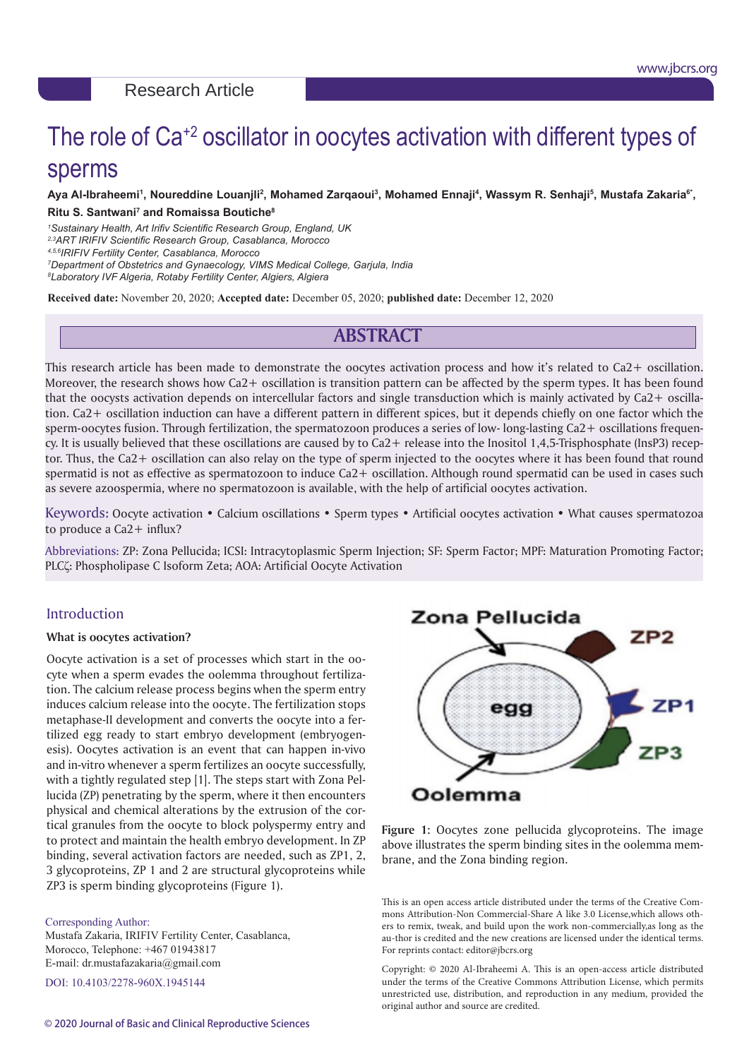# The role of Ca<sup>+2</sup> oscillator in oocytes activation with different types of sperms

## Aya Al-Ibraheemi<sup>1</sup>, Noureddine Louanjli<sup>2</sup>, Mohamed Zarqaoui<sup>3</sup>, Mohamed Ennaji<sup>4</sup>, Wassym R. Senhaji<sup>5</sup>, Mustafa Zakaria<sup>6</sup>˙,

#### **Ritu S. Santwani7 and Romaissa Boutiche8**

*1 Sustainary Health, Art Irifiv Scientific Research Group, England, UK*

*2,3ART IRIFIV Scientific Research Group, Casablanca, Morocco*

*4,5,6IRIFIV Fertility Center, Casablanca, Morocco*

*7 Department of Obstetrics and Gynaecology, VIMS Medical College, Garjula, India*

*8 Laboratory IVF Algeria, Rotaby Fertility Center, Algiers, Algiera*

**Received date:** November 20, 2020; **Accepted date:** December 05, 2020; **published date:** December 12, 2020

# **ABSTRACT**

This research article has been made to demonstrate the oocytes activation process and how it's related to Ca2+ oscillation. Moreover, the research shows how Ca2+ oscillation is transition pattern can be affected by the sperm types. It has been found that the oocysts activation depends on intercellular factors and single transduction which is mainly activated by Ca2+ oscillation. Ca2+ oscillation induction can have a different pattern in different spices, but it depends chiefly on one factor which the sperm-oocytes fusion. Through fertilization, the spermatozoon produces a series of low- long-lasting Ca2+ oscillations frequency. It is usually believed that these oscillations are caused by to Ca2+ release into the Inositol 1,4,5-Trisphosphate (InsP3) receptor. Thus, the Ca2+ oscillation can also relay on the type of sperm injected to the oocytes where it has been found that round spermatid is not as effective as spermatozoon to induce Ca2+ oscillation. Although round spermatid can be used in cases such as severe azoospermia, where no spermatozoon is available, with the help of artificial oocytes activation.

Keywords: Oocyte activation • Calcium oscillations • Sperm types • Artificial oocytes activation • What causes spermatozoa to produce a  $Ca<sub>2</sub> + influx$ ?

Abbreviations: ZP: Zona Pellucida; ICSI: Intracytoplasmic Sperm Injection; SF: Sperm Factor; MPF: Maturation Promoting Factor; PLCζ: Phospholipase C Isoform Zeta; AOA: Artificial Oocyte Activation

# Introduction

#### **What is oocytes activation?**

Oocyte activation is a set of processes which start in the oocyte when a sperm evades the oolemma throughout fertilization. The calcium release process begins when the sperm entry induces calcium release into the oocyte. The fertilization stops metaphase-II development and converts the oocyte into a fertilized egg ready to start embryo development (embryogenesis). Oocytes activation is an event that can happen in-vivo and in-vitro whenever a sperm fertilizes an oocyte successfully, with a tightly regulated step [1]. The steps start with Zona Pellucida (ZP) penetrating by the sperm, where it then encounters physical and chemical alterations by the extrusion of the cortical granules from the oocyte to block polyspermy entry and to protect and maintain the health embryo development. In ZP binding, several activation factors are needed, such as ZP1, 2, 3 glycoproteins, ZP 1 and 2 are structural glycoproteins while ZP3 is sperm binding glycoproteins (Figure 1).

#### Corresponding Author:

Mustafa Zakaria, IRIFIV Fertility Center, Casablanca, Morocco, Telephone: +467 01943817 E-mail: dr.mustafazakaria@gmail.com

DOI: 10.4103/2278-960X.1945144



**Figure 1:** Oocytes zone pellucida glycoproteins. The image above illustrates the sperm binding sites in the oolemma membrane, and the Zona binding region.

This is an open access article distributed under the terms of the Creative Commons Attribution-Non Commercial-Share A like 3.0 License,which allows others to remix, tweak, and build upon the work non-commercially,as long as the au-thor is credited and the new creations are licensed under the identical terms. For reprints contact: editor@jbcrs.org

Copyright: © 2020 Al-Ibraheemi A. This is an open-access article distributed under the terms of the Creative Commons Attribution License, which permits unrestricted use, distribution, and reproduction in any medium, provided the original author and source are credited.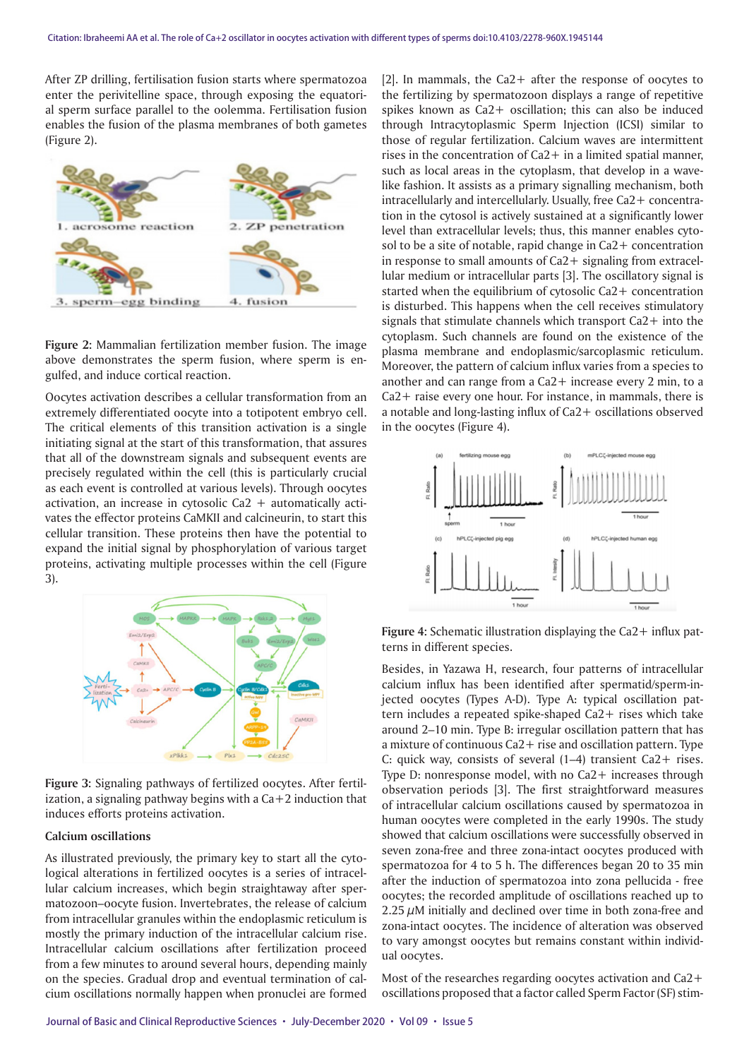After ZP drilling, fertilisation fusion starts where spermatozoa enter the perivitelline space, through exposing the equatorial sperm surface parallel to the oolemma. Fertilisation fusion enables the fusion of the plasma membranes of both gametes (Figure 2).



**Figure 2:** Mammalian fertilization member fusion. The image above demonstrates the sperm fusion, where sperm is engulfed, and induce cortical reaction.

Oocytes activation describes a cellular transformation from an extremely differentiated oocyte into a totipotent embryo cell. The critical elements of this transition activation is a single initiating signal at the start of this transformation, that assures that all of the downstream signals and subsequent events are precisely regulated within the cell (this is particularly crucial as each event is controlled at various levels). Through oocytes activation, an increase in cytosolic Ca2  $+$  automatically activates the effector proteins CaMKII and calcineurin, to start this cellular transition. These proteins then have the potential to expand the initial signal by phosphorylation of various target proteins, activating multiple processes within the cell (Figure 3).



**Figure 3:** Signaling pathways of fertilized oocytes. After fertilization, a signaling pathway begins with a  $Ca+2$  induction that induces efforts proteins activation.

#### **Calcium oscillations**

As illustrated previously, the primary key to start all the cytological alterations in fertilized oocytes is a series of intracellular calcium increases, which begin straightaway after spermatozoon–oocyte fusion. Invertebrates, the release of calcium from intracellular granules within the endoplasmic reticulum is mostly the primary induction of the intracellular calcium rise. Intracellular calcium oscillations after fertilization proceed from a few minutes to around several hours, depending mainly on the species. Gradual drop and eventual termination of calcium oscillations normally happen when pronuclei are formed

[2]. In mammals, the Ca2+ after the response of oocytes to the fertilizing by spermatozoon displays a range of repetitive spikes known as Ca2+ oscillation; this can also be induced through Intracytoplasmic Sperm Injection (ICSI) similar to those of regular fertilization. Calcium waves are intermittent rises in the concentration of  $Ca2+$  in a limited spatial manner, such as local areas in the cytoplasm, that develop in a wavelike fashion. It assists as a primary signalling mechanism, both intracellularly and intercellularly. Usually, free Ca2+ concentration in the cytosol is actively sustained at a significantly lower level than extracellular levels; thus, this manner enables cytosol to be a site of notable, rapid change in Ca2+ concentration in response to small amounts of Ca2+ signaling from extracellular medium or intracellular parts [3]. The oscillatory signal is started when the equilibrium of cytosolic Ca2+ concentration is disturbed. This happens when the cell receives stimulatory signals that stimulate channels which transport Ca2+ into the cytoplasm. Such channels are found on the existence of the plasma membrane and endoplasmic/sarcoplasmic reticulum. Moreover, the pattern of calcium influx varies from a species to another and can range from a Ca2+ increase every 2 min, to a Ca2+ raise every one hour. For instance, in mammals, there is a notable and long-lasting influx of Ca2+ oscillations observed in the oocytes (Figure 4).



**Figure 4:** Schematic illustration displaying the Ca2+ influx patterns in different species.

Besides, in Yazawa H, research, four patterns of intracellular calcium influx has been identified after spermatid/sperm-injected oocytes (Types A-D). Type A: typical oscillation pattern includes a repeated spike-shaped Ca2+ rises which take around 2–10 min. Type B: irregular oscillation pattern that has a mixture of continuous Ca2+ rise and oscillation pattern. Type C: quick way, consists of several (1–4) transient Ca2+ rises. Type D: nonresponse model, with no Ca2+ increases through observation periods [3]. The first straightforward measures of intracellular calcium oscillations caused by spermatozoa in human oocytes were completed in the early 1990s. The study showed that calcium oscillations were successfully observed in seven zona-free and three zona-intact oocytes produced with spermatozoa for 4 to 5 h. The differences began 20 to 35 min after the induction of spermatozoa into zona pellucida - free oocytes; the recorded amplitude of oscillations reached up to  $2.25 \mu$ M initially and declined over time in both zona-free and zona-intact oocytes. The incidence of alteration was observed to vary amongst oocytes but remains constant within individual oocytes.

Most of the researches regarding oocytes activation and Ca2+ oscillations proposed that a factor called Sperm Factor (SF) stim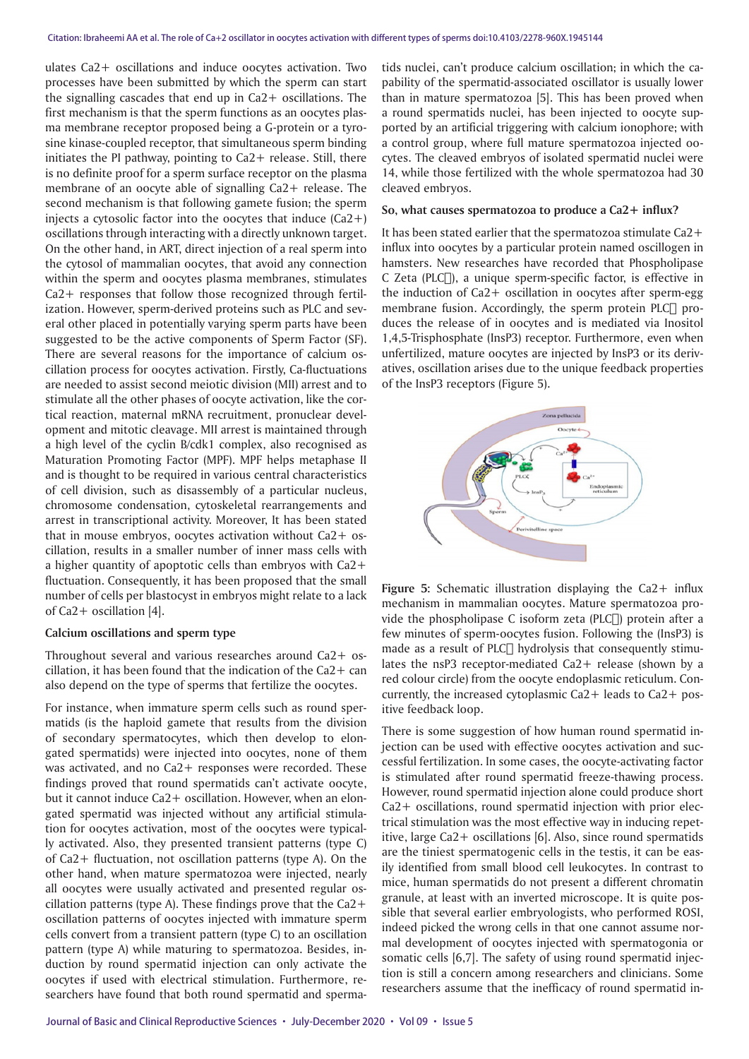ulates Ca2+ oscillations and induce oocytes activation. Two processes have been submitted by which the sperm can start the signalling cascades that end up in Ca2+ oscillations. The first mechanism is that the sperm functions as an oocytes plasma membrane receptor proposed being a G-protein or a tyrosine kinase-coupled receptor, that simultaneous sperm binding initiates the PI pathway, pointing to Ca2+ release. Still, there is no definite proof for a sperm surface receptor on the plasma membrane of an oocyte able of signalling Ca2+ release. The second mechanism is that following gamete fusion; the sperm injects a cytosolic factor into the oocytes that induce (Ca2+) oscillations through interacting with a directly unknown target. On the other hand, in ART, direct injection of a real sperm into the cytosol of mammalian oocytes, that avoid any connection within the sperm and oocytes plasma membranes, stimulates Ca2+ responses that follow those recognized through fertilization. However, sperm-derived proteins such as PLC and several other placed in potentially varying sperm parts have been suggested to be the active components of Sperm Factor (SF). There are several reasons for the importance of calcium oscillation process for oocytes activation. Firstly, Ca-fluctuations are needed to assist second meiotic division (MII) arrest and to stimulate all the other phases of oocyte activation, like the cortical reaction, maternal mRNA recruitment, pronuclear development and mitotic cleavage. MII arrest is maintained through a high level of the cyclin B/cdk1 complex, also recognised as Maturation Promoting Factor (MPF). MPF helps metaphase II and is thought to be required in various central characteristics of cell division, such as disassembly of a particular nucleus, chromosome condensation, cytoskeletal rearrangements and arrest in transcriptional activity. Moreover, It has been stated that in mouse embryos, oocytes activation without Ca2+ oscillation, results in a smaller number of inner mass cells with a higher quantity of apoptotic cells than embryos with Ca2+ fluctuation. Consequently, it has been proposed that the small number of cells per blastocyst in embryos might relate to a lack of Ca2+ oscillation [4].

#### **Calcium oscillations and sperm type**

Throughout several and various researches around Ca2+ oscillation, it has been found that the indication of the  $Ca<sub>2</sub> + can$ also depend on the type of sperms that fertilize the oocytes.

For instance, when immature sperm cells such as round spermatids (is the haploid gamete that results from the division of secondary spermatocytes, which then develop to elongated spermatids) were injected into oocytes, none of them was activated, and no  $Ca2+$  responses were recorded. These findings proved that round spermatids can't activate oocyte, but it cannot induce Ca2+ oscillation. However, when an elongated spermatid was injected without any artificial stimulation for oocytes activation, most of the oocytes were typically activated. Also, they presented transient patterns (type C) of Ca2+ fluctuation, not oscillation patterns (type A). On the other hand, when mature spermatozoa were injected, nearly all oocytes were usually activated and presented regular oscillation patterns (type A). These findings prove that the  $Ca2+$ oscillation patterns of oocytes injected with immature sperm cells convert from a transient pattern (type C) to an oscillation pattern (type A) while maturing to spermatozoa. Besides, induction by round spermatid injection can only activate the oocytes if used with electrical stimulation. Furthermore, researchers have found that both round spermatid and spermatids nuclei, can't produce calcium oscillation; in which the capability of the spermatid-associated oscillator is usually lower than in mature spermatozoa [5]. This has been proved when a round spermatids nuclei, has been injected to oocyte supported by an artificial triggering with calcium ionophore; with a control group, where full mature spermatozoa injected oocytes. The cleaved embryos of isolated spermatid nuclei were 14, while those fertilized with the whole spermatozoa had 30 cleaved embryos.

#### **So, what causes spermatozoa to produce a Ca2+ influx?**

It has been stated earlier that the spermatozoa stimulate Ca2+ influx into oocytes by a particular protein named oscillogen in hamsters. New researches have recorded that Phospholipase C Zeta (PLC $\Box$ ), a unique sperm-specific factor, is effective in the induction of Ca2+ oscillation in oocytes after sperm-egg membrane fusion. Accordingly, the sperm protein PLC∏ produces the release of in oocytes and is mediated via Inositol 1,4,5-Trisphosphate (InsP3) receptor. Furthermore, even when unfertilized, mature oocytes are injected by InsP3 or its derivatives, oscillation arises due to the unique feedback properties of the InsP3 receptors (Figure 5).



**Figure 5:** Schematic illustration displaying the Ca2+ influx mechanism in mammalian oocytes. Mature spermatozoa provide the phospholipase C isoform zeta (PLC $\Box$ ) protein after a few minutes of sperm-oocytes fusion. Following the (InsP3) is made as a result of PLC $\sqcap$  hydrolysis that consequently stimulates the nsP3 receptor-mediated Ca2+ release (shown by a red colour circle) from the oocyte endoplasmic reticulum. Concurrently, the increased cytoplasmic Ca2+ leads to Ca2+ positive feedback loop.

There is some suggestion of how human round spermatid injection can be used with effective oocytes activation and successful fertilization. In some cases, the oocyte-activating factor is stimulated after round spermatid freeze-thawing process. However, round spermatid injection alone could produce short Ca2+ oscillations, round spermatid injection with prior electrical stimulation was the most effective way in inducing repetitive, large Ca2+ oscillations [6]. Also, since round spermatids are the tiniest spermatogenic cells in the testis, it can be easily identified from small blood cell leukocytes. In contrast to mice, human spermatids do not present a different chromatin granule, at least with an inverted microscope. It is quite possible that several earlier embryologists, who performed ROSI, indeed picked the wrong cells in that one cannot assume normal development of oocytes injected with spermatogonia or somatic cells [6,7]. The safety of using round spermatid injection is still a concern among researchers and clinicians. Some researchers assume that the inefficacy of round spermatid in